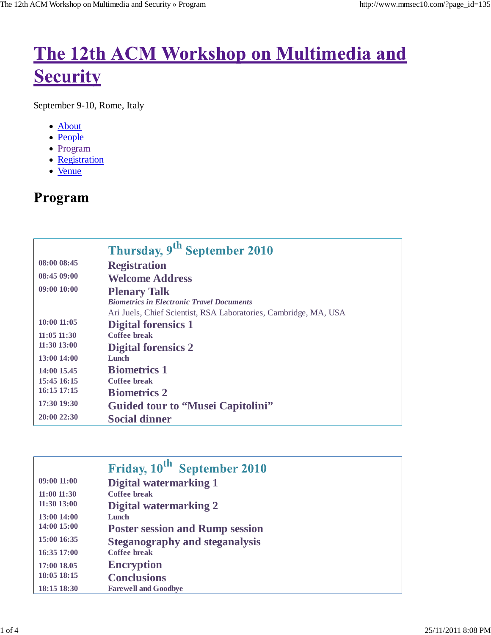# The 12th ACM Workshop on Multimedia and **Security**

September 9-10, Rome, Italy

- About
- People
- Program
- Registration
- Venue

# Program

|                 | Thursday, 9 <sup>th</sup> September 2010                         |
|-----------------|------------------------------------------------------------------|
| 08:00 08:45     | <b>Registration</b>                                              |
| 08:4509:00      | <b>Welcome Address</b>                                           |
| 09:0010:00      | <b>Plenary Talk</b>                                              |
|                 | <b>Biometrics in Electronic Travel Documents</b>                 |
|                 | Ari Juels, Chief Scientist, RSA Laboratories, Cambridge, MA, USA |
| $10:00$ $11:05$ | <b>Digital forensics 1</b>                                       |
| $11:05$ $11:30$ | Coffee break                                                     |
| $11:30$ $13:00$ | <b>Digital forensics 2</b>                                       |
| 13:00 14:00     | Lunch                                                            |
| 14:00 15.45     | <b>Biometrics 1</b>                                              |
| 15:45 16:15     | Coffee break                                                     |
| $16:15$ 17:15   | <b>Biometrics 2</b>                                              |
| 17:30 19:30     | <b>Guided tour to "Musei Capitolini"</b>                         |
| 20:0022:30      | <b>Social dinner</b>                                             |

|                 | Friday, 10 <sup>th</sup> September 2010 |
|-----------------|-----------------------------------------|
| 09:0011:00      | Digital watermarking 1                  |
| $11:00$ $11:30$ | Coffee break                            |
| $11:30$ $13:00$ | Digital watermarking 2                  |
| 13:00 14:00     | Lunch                                   |
| 14:00 15:00     | <b>Poster session and Rump session</b>  |
| 15:00 16:35     | <b>Steganography and steganalysis</b>   |
| $16:35$ 17:00   | Coffee break                            |
| 17:00 18.05     | <b>Encryption</b>                       |
| 18:05 18:15     | <b>Conclusions</b>                      |
| 18:15 18:30     | <b>Farewell and Goodbye</b>             |
|                 |                                         |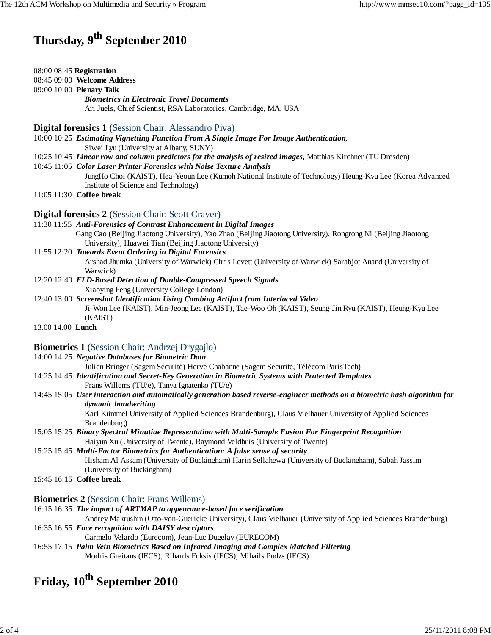# **Thursday, 9th September 2010**

| 08:00 08:45 Registration |  |  |  |
|--------------------------|--|--|--|
|--------------------------|--|--|--|

#### 08:45 09:00 **Welcome Address**

09:00 10:00 **Plenary Talk**

*Biometrics in Electronic Travel Documents*

Ari Juels, Chief Scientist, RSA Laboratories, Cambridge, MA, USA

**Digital forensics 1** (Session Chair: Alessandro Piva)

- 10:00 10:25 *Estimating Vignetting Function From A Single Image For Image Authentication,* Siwei Lyu (University at Albany, SUNY)
- 10:25 10:45 *Linear row and column predictors for the analysis of resized images,* Matthias Kirchner (TU Dresden)
- 10:45 11:05 *Color Laser Printer Forensics with Noise Texture Analysis*

JungHo Choi (KAIST), Hea-Yeoun Lee (Kumoh National Institute of Technology) Heung-Kyu Lee (Korea Advanced Institute of Science and Technology)

11:05 11:30 **Coffee break**

### **Digital forensics 2** (Session Chair: Scott Craver)

11:30 11:55 *Anti-Forensics of Contrast Enhancement in Digital Images* Gang Cao (Beijing Jiaotong University), Yao Zhao (Beijing Jiaotong University), Rongrong Ni (Beijing Jiaotong University), Huawei Tian (Beijing Jiaotong University)

#### 11:55 12:20 *Towards Event Ordering in Digital Forensics*

Arshad Jhumka (University of Warwick) Chris Levett (University of Warwick) Sarabjot Anand (University of Warwick)

12:20 12:40 *FLD-Based Detection of Double-Compressed Speech Signals*

Xiaoying Feng (University College London)

- 12:40 13:00 *Screenshot Identification Using Combing Artifact from Interlaced Video* Ji-Won Lee (KAIST), Min-Jeong Lee (KAIST), Tae-Woo Oh (KAIST), Seung-Jin Ryu (KAIST), Heung-Kyu Lee (KAIST)
- 13.00 14.00 **Lunch**

### **Biometrics 1** (Session Chair: Andrzej Drygajlo)

#### 14:00 14:25 *Negative Databases for Biometric Data*

Julien Bringer (Sagem Sécurité) Hervé Chabanne (Sagem Sécurité, Télécom ParisTech)

- 14:25 14:45 *Identification and Secret-Key Generation in Biometric Systems with Protected Templates* Frans Willems (TU/e), Tanya Ignatenko (TU/e)
- 14:45 15:05 *User interaction and automatically generation based reverse-engineer methods on a biometric hash algorithm for dynamic handwriting*

Karl Kümmel University of Applied Sciences Brandenburg), Claus Vielhauer University of Applied Sciences Brandenburg)

15:05 15:25 *Binary Spectral Minutiae Representation with Multi-Sample Fusion For Fingerprint Recognition* Haiyun Xu (University of Twente), Raymond Veldhuis (University of Twente)

15:25 15:45 *Multi-Factor Biometrics for Authentication: A false sense of security* Hisham Al Assam (University of Buckingham) Harin Sellahewa (University of Buckingham), Sabah Jassim (University of Buckingham)

15:45 16:15 **Coffee break**

#### **Biometrics 2** (Session Chair: Frans Willems)

16:15 16:35 *The impact of ARTMAP to appearance-based face verification*

Andrey Makrushin (Otto-von-Guericke University), Claus Vielhauer (University of Applied Sciences Brandenburg) 16:35 16:55 *Face recognition with DAISY descriptors*

Carmelo Velardo (Eurecom), Jean-Luc Dugelay (EURECOM)

16:55 17:15 *Palm Vein Biometrics Based on Infrared Imaging and Complex Matched Filtering* Modris Greitans (IECS), Rihards Fuksis (IECS), Mihails Pudzs (IECS)

### **Friday, 10<sup>th</sup> September 2010**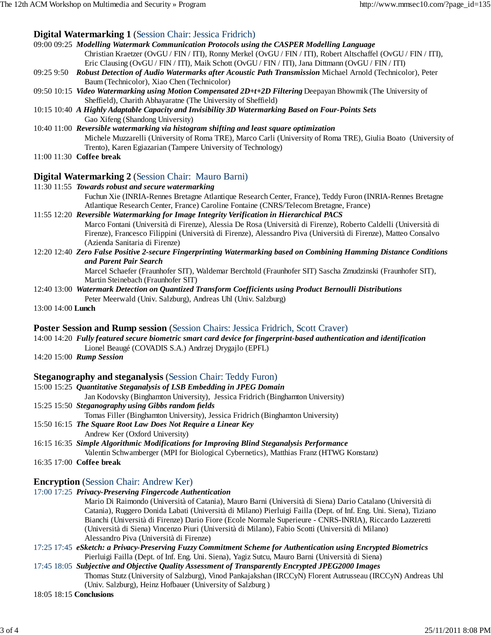### **Digital Watermarking 1** (Session Chair: Jessica Fridrich)

| 09:00 09:25 Modelling Watermark Communication Protocols using the CASPER Modelling Language                          |
|----------------------------------------------------------------------------------------------------------------------|
| Christian Kraetzer (OvGU / FIN / ITI), Ronny Merkel (OvGU / FIN / ITI), Robert Altschaffel (OvGU / FIN / ITI),       |
| Eric Clausing (OvGU/FIN/ITI), Maik Schott (OvGU/FIN/ITI), Jana Dittmann (OvGU/FIN/ITI)                               |
| 09:25 9:50 Robust Detection of Audio Watermarks after Acoustic Path Transmission Michael Arnold (Technicolor), Peter |
| Baum (Technicolor), Xiao Chen (Technicolor)                                                                          |
| 09:50 10:15 Video Watermarking using Motion Compensated 2D+t+2D Filtering Deepayan Bhowmik (The University of        |
| Sheffield), Charith Abhayaratne (The University of Sheffield)                                                        |
| 10:15 10:40 A Highly Adaptable Capacity and Invisibility 3D Watermarking Based on Four-Points Sets                   |
| Gao Xifeng (Shandong University)                                                                                     |
| $10:40$ $11:00$ Reversible watermarking via histogram shifting and least square optimization                         |
| Michele Muzzarelli (University of Roma TRE), Marco Carli (University of Roma TRE), Giulia Boato (University of       |
| Trento), Karen Egiazarian (Tampere University of Technology)                                                         |
| $11:00$ $11:30$ Coffee break                                                                                         |
| <b>Digital Watermarking 2</b> (Session Chair: Mauro Barni)                                                           |
|                                                                                                                      |

|                                                                                           | 11:30 11:55 Towards robust and secure watermarking                                                              |  |
|-------------------------------------------------------------------------------------------|-----------------------------------------------------------------------------------------------------------------|--|
|                                                                                           | Fuchun Xie (INRIA-Rennes Bretagne Atlantique Research Center, France), Teddy Furon (INRIA-Rennes Bretagne       |  |
|                                                                                           | Atlantique Research Center, France) Caroline Fontaine (CNRS/Telecom Bretagne, France)                           |  |
| 11:55 12:20 Reversible Watermarking for Image Integrity Verification in Hierarchical PACS |                                                                                                                 |  |
|                                                                                           | Marco Eontani (Università di Firanza), Aleggia De Posa (Università di Firanza), Poberto Caldelli (Università di |  |

Marco Fontani (Università di Firenze), Alessia De Rosa (Università di Firenze), Roberto Caldelli (Università di Firenze), Francesco Filippini (Università di Firenze), Alessandro Piva (Università di Firenze), Matteo Consalvo (Azienda Sanitaria di Firenze)

12:20 12:40 *Zero False Positive 2-secure Fingerprinting Watermarking based on Combining Hamming Distance Conditions and Parent Pair Search*

> Marcel Schaefer (Fraunhofer SIT), Waldemar Berchtold (Fraunhofer SIT) Sascha Zmudzinski (Fraunhofer SIT), Martin Steinebach (Fraunhofer SIT)

12:40 13:00 *Watermark Detection on Quantized Transform Coefficients using Product Bernoulli Distributions* Peter Meerwald (Univ. Salzburg), Andreas Uhl (Univ. Salzburg)

13:00 14:00 **Lunch**

#### **Poster Session and Rump session** (Session Chairs: Jessica Fridrich, Scott Craver)

14:00 14:20 *Fully featured secure biometric smart card device for fingerprint-based authentication and identification* Lionel Beaugé (COVADIS S.A.) Andrzej Drygajlo (EPFL)

14:20 15:00 *Rump Session*

#### **Steganography and steganalysis (Session Chair: Teddy Furon)**

15:00 15:25 *Quantitative Steganalysis of LSB Embedding in JPEG Domain*

- Jan Kodovsky (Binghamton University), Jessica Fridrich (Binghamton University)
- 15:25 15:50 *Steganography using Gibbs random fields*
	- Tomas Filler (Binghamton University), Jessica Fridrich (Binghamton University)
- 15:50 16:15 *The Square Root Law Does Not Require a Linear Key*
	- Andrew Ker (Oxford University)

16:15 16:35 *Simple Algorithmic Modifications for Improving Blind Steganalysis Performance*

Valentin Schwamberger (MPI for Biological Cybernetics), Matthias Franz (HTWG Konstanz)

16:35 17:00 **Coffee break**

#### **Encryption** (Session Chair: Andrew Ker)

17:00 17:25 *Privacy-Preserving Fingercode Authentication*

Mario Di Raimondo (Università of Catania), Mauro Barni (Università di Siena) Dario Catalano (Università di Catania), Ruggero Donida Labati (Università di Milano) Pierluigi Failla (Dept. of Inf. Eng. Uni. Siena), Tiziano Bianchi (Università di Firenze) Dario Fiore (Ecole Normale Superieure - CNRS-INRIA), Riccardo Lazzeretti (Università di Siena) Vincenzo Piuri (Università di Milano), Fabio Scotti (Università di Milano) Alessandro Piva (Università di Firenze)

- 17:25 17:45 *eSketch: a Privacy-Preserving Fuzzy Commitment Scheme for Authentication using Encrypted Biometrics* Pierluigi Failla (Dept. of Inf. Eng. Uni. Siena), Yagiz Sutcu, Mauro Barni (Università di Siena)
- 17:45 18:05 *Subjective and Objective Quality Assessment of Transparently Encrypted JPEG2000 Images* Thomas Stutz (University of Salzburg), Vinod Pankajakshan (IRCCyN) Florent Autrusseau (IRCCyN) Andreas Uhl

(Univ. Salzburg), Heinz Hofbauer (University of Salzburg )

18:05 18:15 **Conclusions**